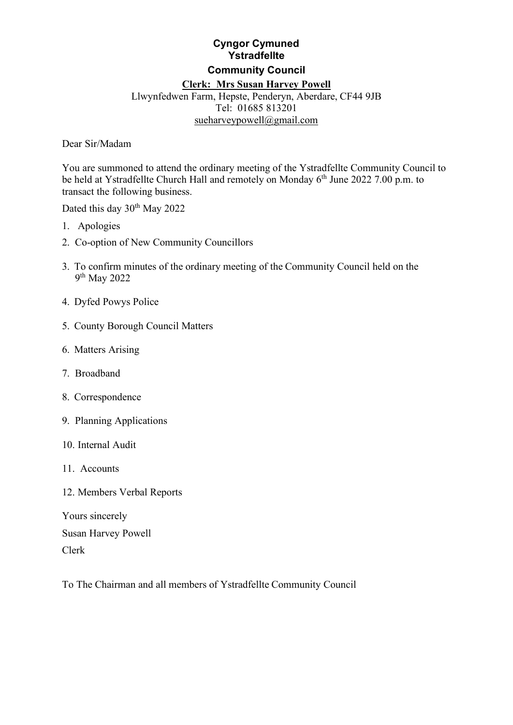# **Cyngor Cymuned Ystradfellte Community Council Clerk: Mrs Susan Harvey Powell** Llwynfedwen Farm, Hepste, Penderyn, Aberdare, CF44 9JB

### Tel: 01685 813201 [sueharveypowell@gmail.com](mailto:sharveypowell@hotmail.com)

Dear Sir/Madam

You are summoned to attend the ordinary meeting of the Ystradfellte Community Council to be held at Ystradfellte Church Hall and remotely on Monday  $6<sup>th</sup>$  June 2022 7.00 p.m. to transact the following business.

Dated this day 30<sup>th</sup> May 2022

- 1. Apologies
- 2. Co-option of New Community Councillors
- 3. To confirm minutes of the ordinary meeting of the Community Council held on the 9th May 2022
- 4. Dyfed Powys Police
- 5. County Borough Council Matters
- 6. Matters Arising
- 7. Broadband
- 8. Correspondence
- 9. Planning Applications
- 10. Internal Audit
- 11. Accounts
- 12. Members Verbal Reports

Yours sincerely Susan Harvey Powell Clerk

To The Chairman and all members of Ystradfellte Community Council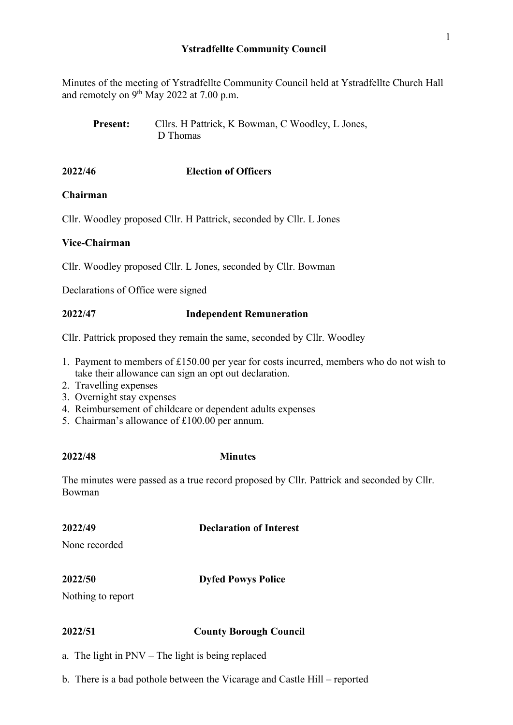Minutes of the meeting of Ystradfellte Community Council held at Ystradfellte Church Hall and remotely on 9<sup>th</sup> May 2022 at 7.00 p.m.

Present: Cllrs. H Pattrick, K Bowman, C Woodley, L Jones, D Thomas

## **2022/46 Election of Officers**

## **Chairman**

Cllr. Woodley proposed Cllr. H Pattrick, seconded by Cllr. L Jones

## **Vice-Chairman**

Cllr. Woodley proposed Cllr. L Jones, seconded by Cllr. Bowman

Declarations of Office were signed

## **2022/47 Independent Remuneration**

Cllr. Pattrick proposed they remain the same, seconded by Cllr. Woodley

- 1. Payment to members of £150.00 per year for costs incurred, members who do not wish to take their allowance can sign an opt out declaration.
- 2. Travelling expenses
- 3. Overnight stay expenses
- 4. Reimbursement of childcare or dependent adults expenses
- 5. Chairman's allowance of £100.00 per annum.

### **2022/48 Minutes**

The minutes were passed as a true record proposed by Cllr. Pattrick and seconded by Cllr. Bowman

## **2022/49 Declaration of Interest**

None recorded

## **2022/50 Dyfed Powys Police**

Nothing to report

### **2022/51 County Borough Council**

a. The light in PNV – The light is being replaced

b. There is a bad pothole between the Vicarage and Castle Hill – reported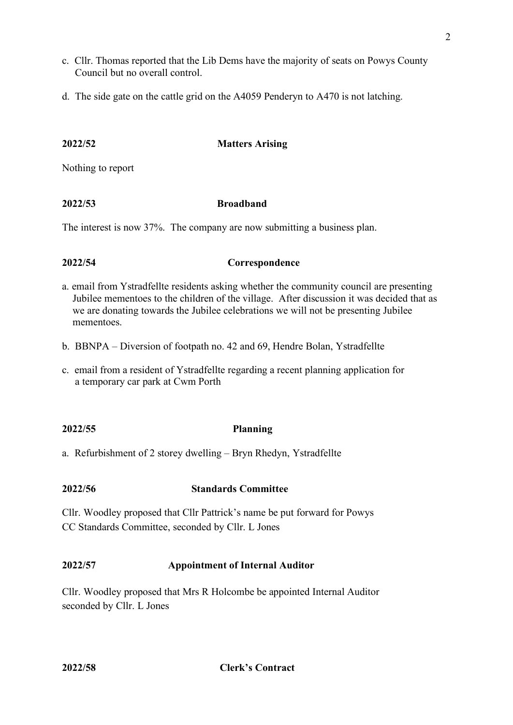- c. Cllr. Thomas reported that the Lib Dems have the majority of seats on Powys County Council but no overall control.
- d. The side gate on the cattle grid on the A4059 Penderyn to A470 is not latching.

## **2022/52 Matters Arising**

Nothing to report

## **2022/53 Broadband**

The interest is now 37%. The company are now submitting a business plan.

## **2022/54 Correspondence**

- a. email from Ystradfellte residents asking whether the community council are presenting Jubilee mementoes to the children of the village. After discussion it was decided that as we are donating towards the Jubilee celebrations we will not be presenting Jubilee mementoes.
- b. BBNPA Diversion of footpath no. 42 and 69, Hendre Bolan, Ystradfellte
- c. email from a resident of Ystradfellte regarding a recent planning application for a temporary car park at Cwm Porth

## **2022/55 Planning**

a. Refurbishment of 2 storey dwelling – Bryn Rhedyn, Ystradfellte

## **2022/56 Standards Committee**

Cllr. Woodley proposed that Cllr Pattrick's name be put forward for Powys CC Standards Committee, seconded by Cllr. L Jones

## **2022/57 Appointment of Internal Auditor**

Cllr. Woodley proposed that Mrs R Holcombe be appointed Internal Auditor seconded by Cllr. L Jones